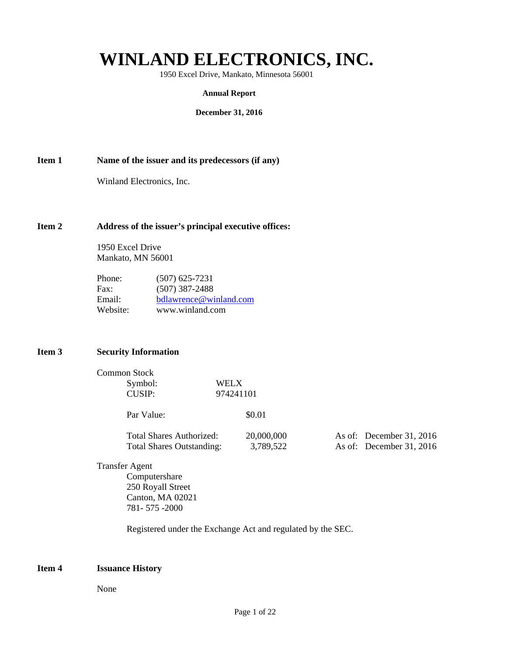# **WINLAND ELECTRONICS, INC.**

1950 Excel Drive, Mankato, Minnesota 56001

#### **Annual Report**

## **December 31, 2016**

**Item 1 Name of the issuer and its predecessors (if any)** 

Winland Electronics, Inc.

# **Item 2 Address of the issuer's principal executive offices:**

 1950 Excel Drive Mankato, MN 56001

| Phone:   | $(507)$ 625-7231       |
|----------|------------------------|
| Fax:     | $(507)$ 387-2488       |
| Email:   | bdlawrence@winland.com |
| Website: | www.winland.com        |

Canton, MA 02021 781- 575 -2000

## **Item 3 Security Information**

| Common Stock<br>Symbol:<br><b>CUSIP:</b>                     | WELX<br>974241101       |                                                      |
|--------------------------------------------------------------|-------------------------|------------------------------------------------------|
| Par Value:                                                   | \$0.01                  |                                                      |
| Total Shares Authorized:<br><b>Total Shares Outstanding:</b> | 20,000,000<br>3,789,522 | As of: December 31, 2016<br>As of: December 31, 2016 |
| <b>Transfer Agent</b><br>Computershare<br>250 Royall Street  |                         |                                                      |

Registered under the Exchange Act and regulated by the SEC.

## **Item 4 Issuance History**

None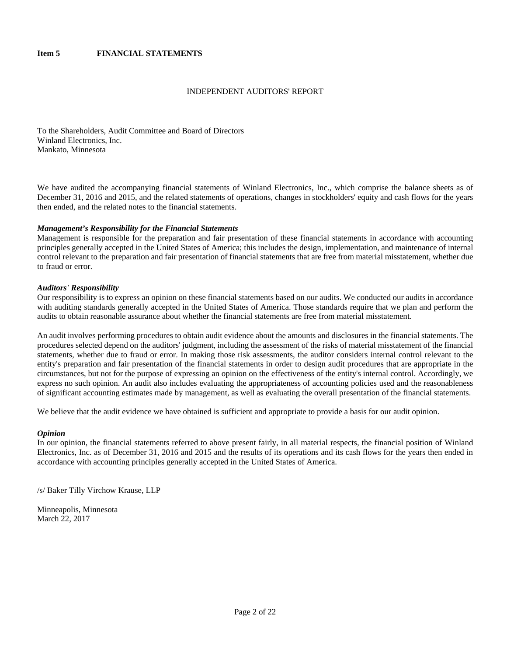# **Item 5 FINANCIAL STATEMENTS**

## INDEPENDENT AUDITORS' REPORT

To the Shareholders, Audit Committee and Board of Directors Winland Electronics, Inc. Mankato, Minnesota

We have audited the accompanying financial statements of Winland Electronics, Inc., which comprise the balance sheets as of December 31, 2016 and 2015, and the related statements of operations, changes in stockholders' equity and cash flows for the years then ended, and the related notes to the financial statements.

## *Management's Responsibility for the Financial Statements*

Management is responsible for the preparation and fair presentation of these financial statements in accordance with accounting principles generally accepted in the United States of America; this includes the design, implementation, and maintenance of internal control relevant to the preparation and fair presentation of financial statements that are free from material misstatement, whether due to fraud or error.

## *Auditors' Responsibility*

Our responsibility is to express an opinion on these financial statements based on our audits. We conducted our audits in accordance with auditing standards generally accepted in the United States of America. Those standards require that we plan and perform the audits to obtain reasonable assurance about whether the financial statements are free from material misstatement.

An audit involves performing procedures to obtain audit evidence about the amounts and disclosures in the financial statements. The procedures selected depend on the auditors' judgment, including the assessment of the risks of material misstatement of the financial statements, whether due to fraud or error. In making those risk assessments, the auditor considers internal control relevant to the entity's preparation and fair presentation of the financial statements in order to design audit procedures that are appropriate in the circumstances, but not for the purpose of expressing an opinion on the effectiveness of the entity's internal control. Accordingly, we express no such opinion. An audit also includes evaluating the appropriateness of accounting policies used and the reasonableness of significant accounting estimates made by management, as well as evaluating the overall presentation of the financial statements.

We believe that the audit evidence we have obtained is sufficient and appropriate to provide a basis for our audit opinion.

#### *Opinion*

In our opinion, the financial statements referred to above present fairly, in all material respects, the financial position of Winland Electronics, Inc. as of December 31, 2016 and 2015 and the results of its operations and its cash flows for the years then ended in accordance with accounting principles generally accepted in the United States of America.

/s/ Baker Tilly Virchow Krause, LLP

Minneapolis, Minnesota March 22, 2017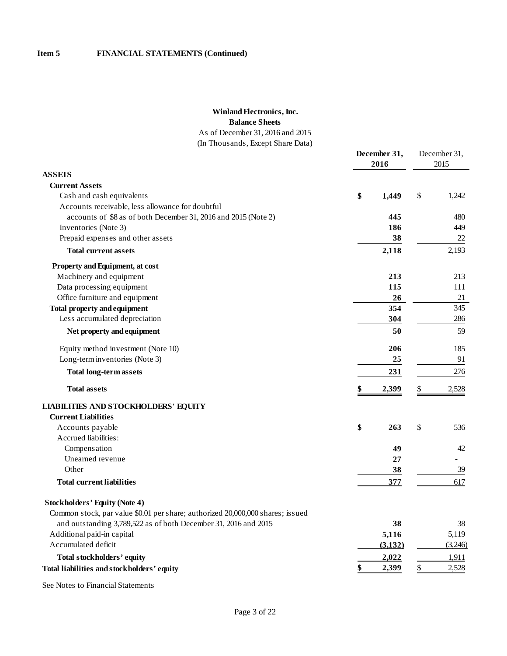# **Winland Electronics, Inc. Balance Sheets** As of December 31, 2016 and 2015 (In Thousands, Except Share Data)

|                                                                                | December 31, |         | December 31, |         |
|--------------------------------------------------------------------------------|--------------|---------|--------------|---------|
|                                                                                |              | 2016    |              | 2015    |
| <b>ASSETS</b>                                                                  |              |         |              |         |
| <b>Current Assets</b>                                                          |              |         |              |         |
| Cash and cash equivalents                                                      | \$           | 1,449   | \$           | 1,242   |
| Accounts receivable, less allowance for doubtful                               |              |         |              |         |
| accounts of \$8 as of both December 31, 2016 and 2015 (Note 2)                 |              | 445     |              | 480     |
| Inventories (Note 3)                                                           |              | 186     |              | 449     |
| Prepaid expenses and other assets                                              |              | 38      |              | 22      |
| <b>Total current assets</b>                                                    |              | 2,118   |              | 2,193   |
| Property and Equipment, at cost                                                |              |         |              |         |
| Machinery and equipment                                                        |              | 213     |              | 213     |
| Data processing equipment                                                      |              | 115     |              | 111     |
| Office furniture and equipment                                                 |              | 26      |              | 21      |
| <b>Total property and equipment</b>                                            |              | 354     |              | 345     |
| Less accumulated depreciation                                                  |              | 304     |              | 286     |
| Net property and equipment                                                     |              | 50      |              | 59      |
| Equity method investment (Note 10)                                             |              | 206     |              | 185     |
| Long-term inventories (Note 3)                                                 |              | 25      |              | 91      |
| <b>Total long-term assets</b>                                                  |              | 231     |              | 276     |
| <b>Total assets</b>                                                            |              | 2,399   | \$           | 2,528   |
| <b>LIABILITIES AND STOCKHOLDERS' EQUITY</b>                                    |              |         |              |         |
| <b>Current Liabilities</b>                                                     |              |         |              |         |
| Accounts payable                                                               | \$           | 263     | \$           | 536     |
| Accrued liabilities:                                                           |              |         |              |         |
| Compensation                                                                   |              | 49      |              | 42      |
| Unearned revenue                                                               |              | 27      |              |         |
| Other                                                                          |              | 38      |              | 39      |
| <b>Total current liabilities</b>                                               |              | 377     |              | 617     |
| <b>Stockholders' Equity (Note 4)</b>                                           |              |         |              |         |
| Common stock, par value \$0.01 per share; authorized 20,000,000 shares; issued |              |         |              |         |
| and outstanding 3,789,522 as of both December 31, 2016 and 2015                |              | 38      |              | 38      |
| Additional paid-in capital                                                     |              | 5,116   |              | 5,119   |
| Accumulated deficit                                                            |              | (3,132) |              | (3,246) |
| <b>Total stockholders' equity</b>                                              |              | 2,022   |              | 1,911   |
| Total liabilities and stockholders' equity                                     | \$           | 2,399   | \$           | 2,528   |
|                                                                                |              |         |              |         |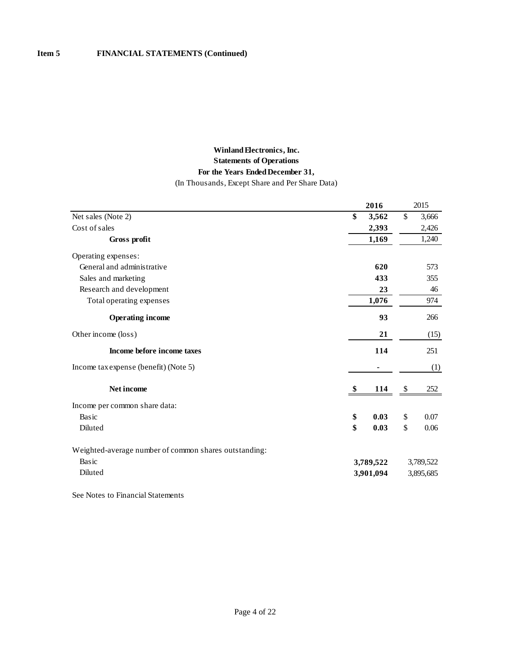# **Winland Electronics, Inc. Statements of Operations** (In Thousands, Except Share and Per Share Data) **For the Years Ended December 31,**

|                                                       | 2016        | 2015        |
|-------------------------------------------------------|-------------|-------------|
| Net sales (Note 2)                                    | \$<br>3,562 | \$<br>3,666 |
| Cost of sales                                         | 2,393       | 2,426       |
| Gross profit                                          | 1,169       | 1,240       |
| Operating expenses:                                   |             |             |
| General and administrative                            | 620         | 573         |
| Sales and marketing                                   | 433         | 355         |
| Research and development                              | 23          | 46          |
| Total operating expenses                              | 1,076       | 974         |
| <b>Operating income</b>                               | 93          | 266         |
| Other income (loss)                                   | 21          | (15)        |
| Income before income taxes                            | 114         | 251         |
| Income tax expense (benefit) (Note 5)                 | ۰           | (1)         |
| Net income                                            | 114         | \$<br>252   |
| Income per common share data:                         |             |             |
| Basic                                                 | \$<br>0.03  | \$<br>0.07  |
| Diluted                                               | \$<br>0.03  | \$<br>0.06  |
| Weighted-average number of common shares outstanding: |             |             |
| Basic                                                 | 3,789,522   | 3,789,522   |
| Diluted                                               | 3,901,094   | 3,895,685   |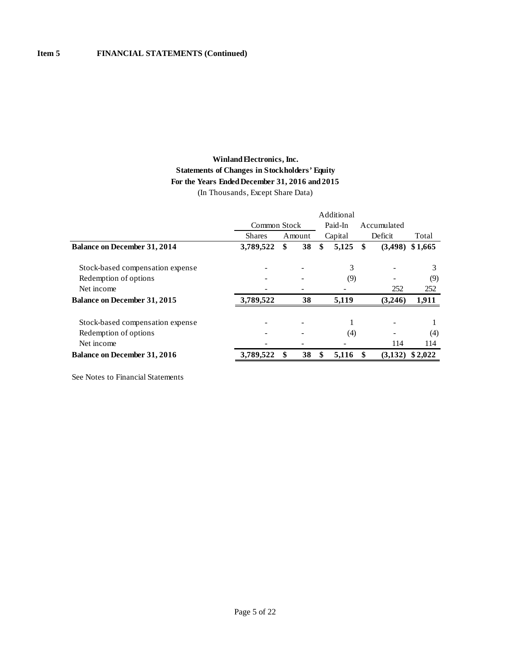# **Winland Electronics, Inc. Statements of Changes in Stockholders' Equity For the Years Ended December 31, 2016 and 2015** (In Thousands, Except Share Data)

|                                     | Additional              |    |        |    |         |             |                   |
|-------------------------------------|-------------------------|----|--------|----|---------|-------------|-------------------|
|                                     | Paid-In<br>Common Stock |    |        |    |         | Accumulated |                   |
|                                     | <b>Shares</b>           |    | Amount |    | Capital | Deficit     | Total             |
| <b>Balance on December 31, 2014</b> | 3,789,522               | \$ | 38     | \$ | 5,125   | \$          | $(3,498)$ \$1,665 |
| Stock-based compensation expense    |                         |    |        |    | 3       |             | 3                 |
| Redemption of options               |                         |    |        |    | (9)     |             | (9)               |
| Net income                          |                         |    |        |    |         | 252         | 252               |
| <b>Balance on December 31, 2015</b> | 3,789,522               |    | 38     |    | 5,119   | (3,246)     | 1,911             |
| Stock-based compensation expense    |                         |    |        |    |         |             |                   |
| Redemption of options               |                         |    |        |    | (4)     |             | (4)               |
| Net income                          |                         |    |        |    |         | 114         | 114               |
| <b>Balance on December 31, 2016</b> | 3,789,522               |    | 38     | \$ | 5,116   | (3,132)     | \$2.022           |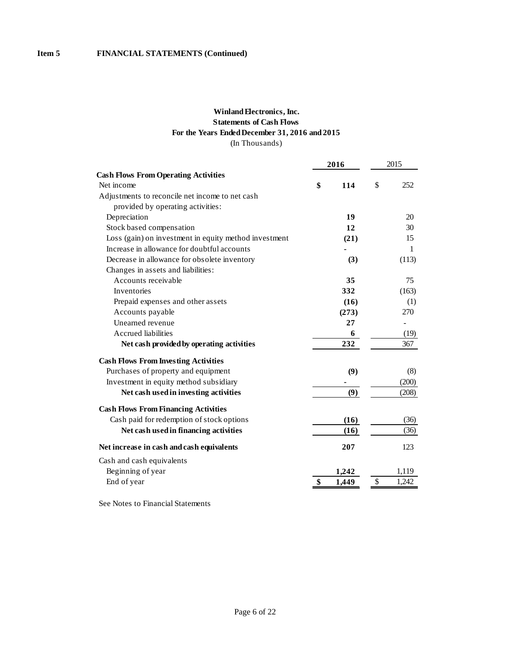# **Winland Electronics, Inc. Statements of Cash Flows** (In Thousands) **For the Years Ended December 31, 2016 and 2015**

|                                                       | 2016 |       | 2015 |       |  |
|-------------------------------------------------------|------|-------|------|-------|--|
| <b>Cash Flows From Operating Activities</b>           |      |       |      |       |  |
| Net income                                            | \$   | 114   | \$   | 252   |  |
| Adjustments to reconcile net income to net cash       |      |       |      |       |  |
| provided by operating activities:                     |      |       |      |       |  |
| Depreciation                                          |      | 19    |      | 20    |  |
| Stock based compensation                              |      | 12    |      | 30    |  |
| Loss (gain) on investment in equity method investment |      | (21)  |      | 15    |  |
| Increase in allowance for doubtful accounts           |      |       |      | 1     |  |
| Decrease in allowance for obsolete inventory          |      | (3)   |      | (113) |  |
| Changes in assets and liabilities:                    |      |       |      |       |  |
| Accounts receivable                                   |      | 35    |      | 75    |  |
| Inventories                                           |      | 332   |      | (163) |  |
| Prepaid expenses and other assets                     |      | (16)  |      | (1)   |  |
| Accounts payable                                      |      | (273) |      | 270   |  |
| Unearned revenue                                      |      | 27    |      |       |  |
| Accrued liabilities                                   |      | 6     |      | (19)  |  |
| Net cash provided by operating activities             |      | 232   |      | 367   |  |
| <b>Cash Flows From Investing Activities</b>           |      |       |      |       |  |
| Purchases of property and equipment                   |      | (9)   |      | (8)   |  |
| Investment in equity method subsidiary                |      |       |      | (200) |  |
| Net cash used in investing activities                 |      | (9)   |      | (208) |  |
| <b>Cash Flows From Financing Activities</b>           |      |       |      |       |  |
| Cash paid for redemption of stock options             |      | (16)  |      | (36)  |  |
| Net cash used in financing activities                 |      | (16)  |      | (36)  |  |
| Net increase in cash and cash equivalents             |      | 207   |      | 123   |  |
| Cash and cash equivalents                             |      |       |      |       |  |
| Beginning of year                                     |      | 1,242 |      | 1,119 |  |
| End of year                                           | \$   | 1,449 | \$   | 1,242 |  |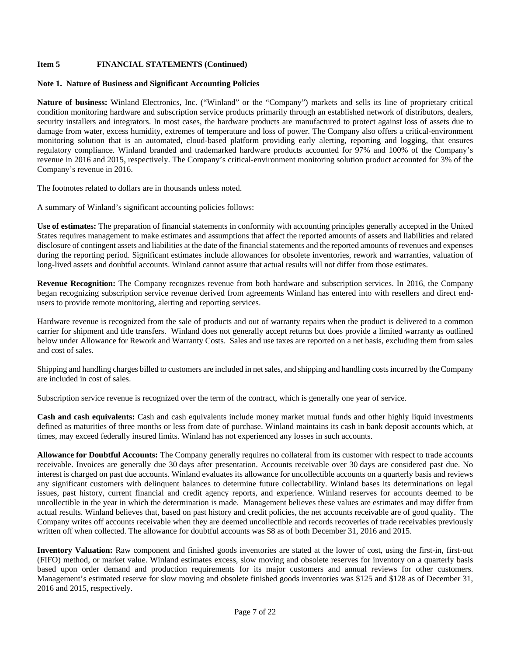## **Note 1. Nature of Business and Significant Accounting Policies**

**Nature of business:** Winland Electronics, Inc. ("Winland" or the "Company") markets and sells its line of proprietary critical condition monitoring hardware and subscription service products primarily through an established network of distributors, dealers, security installers and integrators. In most cases, the hardware products are manufactured to protect against loss of assets due to damage from water, excess humidity, extremes of temperature and loss of power. The Company also offers a critical-environment monitoring solution that is an automated, cloud-based platform providing early alerting, reporting and logging, that ensures regulatory compliance. Winland branded and trademarked hardware products accounted for 97% and 100% of the Company's revenue in 2016 and 2015, respectively. The Company's critical-environment monitoring solution product accounted for 3% of the Company's revenue in 2016.

The footnotes related to dollars are in thousands unless noted.

A summary of Winland's significant accounting policies follows:

**Use of estimates:** The preparation of financial statements in conformity with accounting principles generally accepted in the United States requires management to make estimates and assumptions that affect the reported amounts of assets and liabilities and related disclosure of contingent assets and liabilities at the date of the financial statements and the reported amounts of revenues and expenses during the reporting period. Significant estimates include allowances for obsolete inventories, rework and warranties, valuation of long-lived assets and doubtful accounts. Winland cannot assure that actual results will not differ from those estimates.

**Revenue Recognition:** The Company recognizes revenue from both hardware and subscription services. In 2016, the Company began recognizing subscription service revenue derived from agreements Winland has entered into with resellers and direct endusers to provide remote monitoring, alerting and reporting services.

Hardware revenue is recognized from the sale of products and out of warranty repairs when the product is delivered to a common carrier for shipment and title transfers. Winland does not generally accept returns but does provide a limited warranty as outlined below under Allowance for Rework and Warranty Costs. Sales and use taxes are reported on a net basis, excluding them from sales and cost of sales.

Shipping and handling charges billed to customers are included in net sales, and shipping and handling costs incurred by the Company are included in cost of sales.

Subscription service revenue is recognized over the term of the contract, which is generally one year of service.

**Cash and cash equivalents:** Cash and cash equivalents include money market mutual funds and other highly liquid investments defined as maturities of three months or less from date of purchase. Winland maintains its cash in bank deposit accounts which, at times, may exceed federally insured limits. Winland has not experienced any losses in such accounts.

**Allowance for Doubtful Accounts:** The Company generally requires no collateral from its customer with respect to trade accounts receivable. Invoices are generally due 30 days after presentation. Accounts receivable over 30 days are considered past due. No interest is charged on past due accounts. Winland evaluates its allowance for uncollectible accounts on a quarterly basis and reviews any significant customers with delinquent balances to determine future collectability. Winland bases its determinations on legal issues, past history, current financial and credit agency reports, and experience. Winland reserves for accounts deemed to be uncollectible in the year in which the determination is made. Management believes these values are estimates and may differ from actual results. Winland believes that, based on past history and credit policies, the net accounts receivable are of good quality. The Company writes off accounts receivable when they are deemed uncollectible and records recoveries of trade receivables previously written off when collected. The allowance for doubtful accounts was \$8 as of both December 31, 2016 and 2015.

**Inventory Valuation:** Raw component and finished goods inventories are stated at the lower of cost, using the first-in, first-out (FIFO) method, or market value. Winland estimates excess, slow moving and obsolete reserves for inventory on a quarterly basis based upon order demand and production requirements for its major customers and annual reviews for other customers. Management's estimated reserve for slow moving and obsolete finished goods inventories was \$125 and \$128 as of December 31, 2016 and 2015, respectively.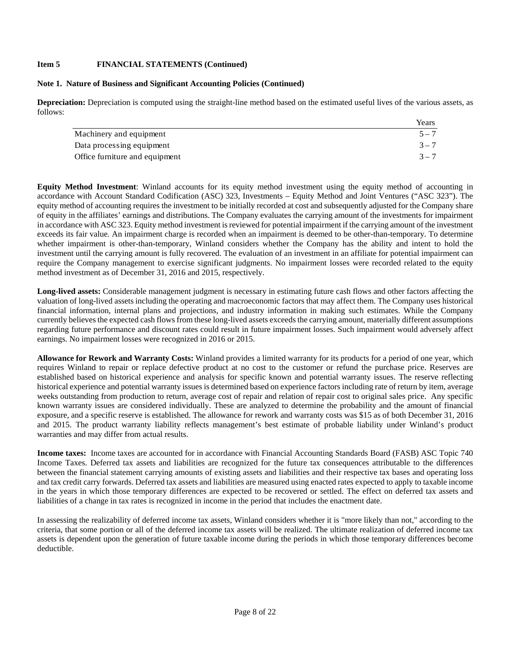## **Note 1. Nature of Business and Significant Accounting Policies (Continued)**

**Depreciation:** Depreciation is computed using the straight-line method based on the estimated useful lives of the various assets, as follows:

|                                | Years   |
|--------------------------------|---------|
| Machinery and equipment        | $5 - 7$ |
| Data processing equipment      | $3 - 7$ |
| Office furniture and equipment | $3 - 7$ |

**Equity Method Investment**: Winland accounts for its equity method investment using the equity method of accounting in accordance with Account Standard Codification (ASC) 323, Investments – Equity Method and Joint Ventures ("ASC 323"). The equity method of accounting requires the investment to be initially recorded at cost and subsequently adjusted for the Company share of equity in the affiliates' earnings and distributions. The Company evaluates the carrying amount of the investments for impairment in accordance with ASC 323. Equity method investment is reviewed for potential impairment if the carrying amount of the investment exceeds its fair value. An impairment charge is recorded when an impairment is deemed to be other-than-temporary. To determine whether impairment is other-than-temporary, Winland considers whether the Company has the ability and intent to hold the investment until the carrying amount is fully recovered. The evaluation of an investment in an affiliate for potential impairment can require the Company management to exercise significant judgments. No impairment losses were recorded related to the equity method investment as of December 31, 2016 and 2015, respectively.

**Long-lived assets:** Considerable management judgment is necessary in estimating future cash flows and other factors affecting the valuation of long-lived assets including the operating and macroeconomic factors that may affect them. The Company uses historical financial information, internal plans and projections, and industry information in making such estimates. While the Company currently believes the expected cash flows from these long-lived assets exceeds the carrying amount, materially different assumptions regarding future performance and discount rates could result in future impairment losses. Such impairment would adversely affect earnings. No impairment losses were recognized in 2016 or 2015.

**Allowance for Rework and Warranty Costs:** Winland provides a limited warranty for its products for a period of one year, which requires Winland to repair or replace defective product at no cost to the customer or refund the purchase price. Reserves are established based on historical experience and analysis for specific known and potential warranty issues. The reserve reflecting historical experience and potential warranty issues is determined based on experience factors including rate of return by item, average weeks outstanding from production to return, average cost of repair and relation of repair cost to original sales price. Any specific known warranty issues are considered individually. These are analyzed to determine the probability and the amount of financial exposure, and a specific reserve is established. The allowance for rework and warranty costs was \$15 as of both December 31, 2016 and 2015. The product warranty liability reflects management's best estimate of probable liability under Winland's product warranties and may differ from actual results.

**Income taxes:** Income taxes are accounted for in accordance with Financial Accounting Standards Board (FASB) ASC Topic 740 Income Taxes. Deferred tax assets and liabilities are recognized for the future tax consequences attributable to the differences between the financial statement carrying amounts of existing assets and liabilities and their respective tax bases and operating loss and tax credit carry forwards. Deferred tax assets and liabilities are measured using enacted rates expected to apply to taxable income in the years in which those temporary differences are expected to be recovered or settled. The effect on deferred tax assets and liabilities of a change in tax rates is recognized in income in the period that includes the enactment date.

In assessing the realizability of deferred income tax assets, Winland considers whether it is "more likely than not," according to the criteria, that some portion or all of the deferred income tax assets will be realized. The ultimate realization of deferred income tax assets is dependent upon the generation of future taxable income during the periods in which those temporary differences become deductible.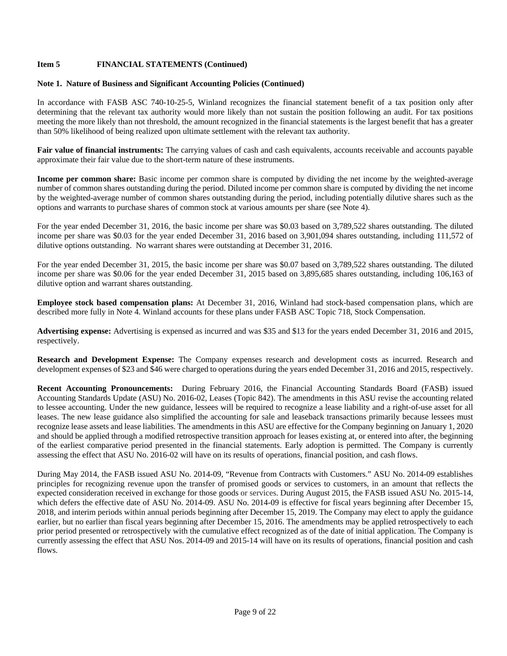## **Note 1. Nature of Business and Significant Accounting Policies (Continued)**

In accordance with FASB ASC 740-10-25-5, Winland recognizes the financial statement benefit of a tax position only after determining that the relevant tax authority would more likely than not sustain the position following an audit. For tax positions meeting the more likely than not threshold, the amount recognized in the financial statements is the largest benefit that has a greater than 50% likelihood of being realized upon ultimate settlement with the relevant tax authority.

**Fair value of financial instruments:** The carrying values of cash and cash equivalents, accounts receivable and accounts payable approximate their fair value due to the short-term nature of these instruments.

**Income per common share:** Basic income per common share is computed by dividing the net income by the weighted-average number of common shares outstanding during the period. Diluted income per common share is computed by dividing the net income by the weighted-average number of common shares outstanding during the period, including potentially dilutive shares such as the options and warrants to purchase shares of common stock at various amounts per share (see Note 4).

For the year ended December 31, 2016, the basic income per share was \$0.03 based on 3,789,522 shares outstanding. The diluted income per share was \$0.03 for the year ended December 31, 2016 based on 3,901,094 shares outstanding, including 111,572 of dilutive options outstanding. No warrant shares were outstanding at December 31, 2016.

For the year ended December 31, 2015, the basic income per share was \$0.07 based on 3,789,522 shares outstanding. The diluted income per share was \$0.06 for the year ended December 31, 2015 based on 3,895,685 shares outstanding, including 106,163 of dilutive option and warrant shares outstanding.

**Employee stock based compensation plans:** At December 31, 2016, Winland had stock-based compensation plans, which are described more fully in Note 4. Winland accounts for these plans under FASB ASC Topic 718, Stock Compensation.

**Advertising expense:** Advertising is expensed as incurred and was \$35 and \$13 for the years ended December 31, 2016 and 2015, respectively.

**Research and Development Expense:** The Company expenses research and development costs as incurred. Research and development expenses of \$23 and \$46 were charged to operations during the years ended December 31, 2016 and 2015, respectively.

**Recent Accounting Pronouncements:** During February 2016, the Financial Accounting Standards Board (FASB) issued Accounting Standards Update (ASU) No. 2016-02, Leases (Topic 842). The amendments in this ASU revise the accounting related to lessee accounting. Under the new guidance, lessees will be required to recognize a lease liability and a right-of-use asset for all leases. The new lease guidance also simplified the accounting for sale and leaseback transactions primarily because lessees must recognize lease assets and lease liabilities. The amendments in this ASU are effective for the Company beginning on January 1, 2020 and should be applied through a modified retrospective transition approach for leases existing at, or entered into after, the beginning of the earliest comparative period presented in the financial statements. Early adoption is permitted. The Company is currently assessing the effect that ASU No. 2016-02 will have on its results of operations, financial position, and cash flows.

During May 2014, the FASB issued ASU No. 2014-09, "Revenue from Contracts with Customers." ASU No. 2014-09 establishes principles for recognizing revenue upon the transfer of promised goods or services to customers, in an amount that reflects the expected consideration received in exchange for those goods or services. During August 2015, the FASB issued ASU No. 2015-14, which defers the effective date of ASU No. 2014-09. ASU No. 2014-09 is effective for fiscal years beginning after December 15, 2018, and interim periods within annual periods beginning after December 15, 2019. The Company may elect to apply the guidance earlier, but no earlier than fiscal years beginning after December 15, 2016. The amendments may be applied retrospectively to each prior period presented or retrospectively with the cumulative effect recognized as of the date of initial application. The Company is currently assessing the effect that ASU Nos. 2014-09 and 2015-14 will have on its results of operations, financial position and cash flows.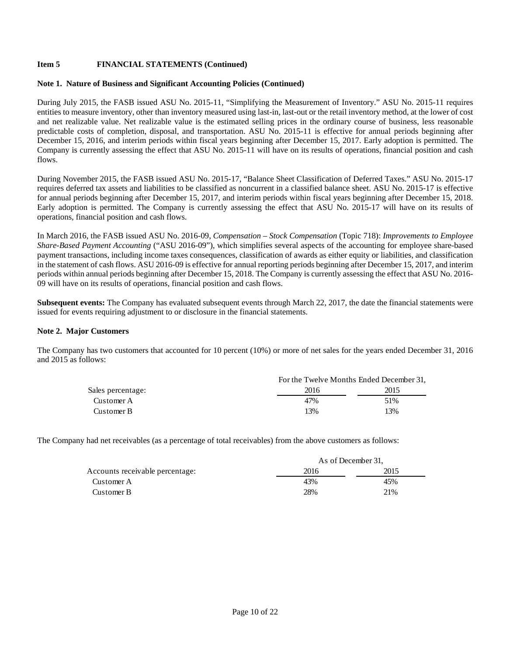## **Note 1. Nature of Business and Significant Accounting Policies (Continued)**

During July 2015, the FASB issued ASU No. 2015-11, "Simplifying the Measurement of Inventory." ASU No. 2015-11 requires entities to measure inventory, other than inventory measured using last-in, last-out or the retail inventory method, at the lower of cost and net realizable value. Net realizable value is the estimated selling prices in the ordinary course of business, less reasonable predictable costs of completion, disposal, and transportation. ASU No. 2015-11 is effective for annual periods beginning after December 15, 2016, and interim periods within fiscal years beginning after December 15, 2017. Early adoption is permitted. The Company is currently assessing the effect that ASU No. 2015-11 will have on its results of operations, financial position and cash flows.

During November 2015, the FASB issued ASU No. 2015-17, "Balance Sheet Classification of Deferred Taxes." ASU No. 2015-17 requires deferred tax assets and liabilities to be classified as noncurrent in a classified balance sheet. ASU No. 2015-17 is effective for annual periods beginning after December 15, 2017, and interim periods within fiscal years beginning after December 15, 2018. Early adoption is permitted. The Company is currently assessing the effect that ASU No. 2015-17 will have on its results of operations, financial position and cash flows.

In March 2016, the FASB issued ASU No. 2016-09, *Compensation – Stock Compensation* (Topic 718): *Improvements to Employee Share-Based Payment Accounting* ("ASU 2016-09"), which simplifies several aspects of the accounting for employee share-based payment transactions, including income taxes consequences, classification of awards as either equity or liabilities, and classification in the statement of cash flows. ASU 2016-09 is effective for annual reporting periods beginning after December 15, 2017, and interim periods within annual periods beginning after December 15, 2018. The Company is currently assessing the effect that ASU No. 2016- 09 will have on its results of operations, financial position and cash flows.

**Subsequent events:** The Company has evaluated subsequent events through March 22, 2017, the date the financial statements were issued for events requiring adjustment to or disclosure in the financial statements.

## **Note 2. Major Customers**

The Company has two customers that accounted for 10 percent (10%) or more of net sales for the years ended December 31, 2016 and 2015 as follows:

|                   | For the Twelve Months Ended December 31, |      |
|-------------------|------------------------------------------|------|
| Sales percentage: | 2016                                     | 2015 |
| Customer A        | 47%                                      | 51%  |
| Customer B        | 13%                                      | 13%  |

The Company had net receivables (as a percentage of total receivables) from the above customers as follows:

|                                 | As of December 31, |      |
|---------------------------------|--------------------|------|
| Accounts receivable percentage: | 2016               | 2015 |
| Customer A                      | 43%                | 45%  |
| Customer B                      | 28%                | 21%  |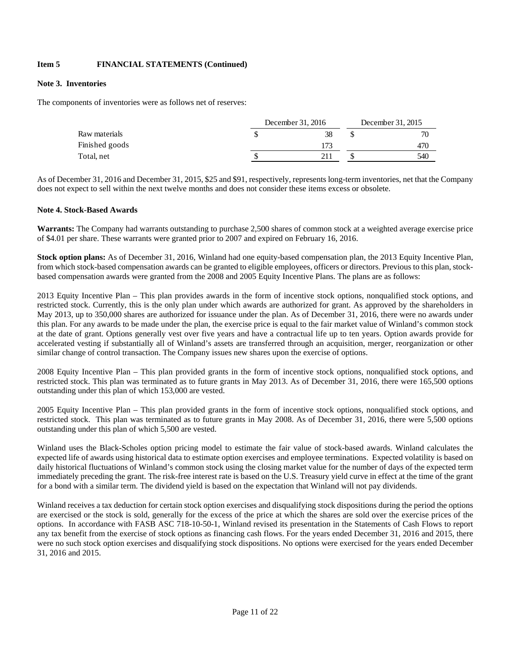## **Note 3. Inventories**

The components of inventories were as follows net of reserves:

|                | December 31, 2016<br>December 31, 2015 |  |  |  |
|----------------|----------------------------------------|--|--|--|
| Raw materials  | 38                                     |  |  |  |
| Finished goods | 173<br>47U                             |  |  |  |
|                | 540                                    |  |  |  |
|                |                                        |  |  |  |

As of December 31, 2016 and December 31, 2015, \$25 and \$91, respectively, represents long-term inventories, net that the Company does not expect to sell within the next twelve months and does not consider these items excess or obsolete.

## **Note 4. Stock-Based Awards**

**Warrants:** The Company had warrants outstanding to purchase 2,500 shares of common stock at a weighted average exercise price of \$4.01 per share. These warrants were granted prior to 2007 and expired on February 16, 2016.

**Stock option plans:** As of December 31, 2016, Winland had one equity-based compensation plan, the 2013 Equity Incentive Plan, from which stock-based compensation awards can be granted to eligible employees, officers or directors. Previous to this plan, stockbased compensation awards were granted from the 2008 and 2005 Equity Incentive Plans. The plans are as follows:

2013 Equity Incentive Plan – This plan provides awards in the form of incentive stock options, nonqualified stock options, and restricted stock. Currently, this is the only plan under which awards are authorized for grant. As approved by the shareholders in May 2013, up to 350,000 shares are authorized for issuance under the plan. As of December 31, 2016, there were no awards under this plan. For any awards to be made under the plan, the exercise price is equal to the fair market value of Winland's common stock at the date of grant. Options generally vest over five years and have a contractual life up to ten years. Option awards provide for accelerated vesting if substantially all of Winland's assets are transferred through an acquisition, merger, reorganization or other similar change of control transaction. The Company issues new shares upon the exercise of options.

2008 Equity Incentive Plan – This plan provided grants in the form of incentive stock options, nonqualified stock options, and restricted stock. This plan was terminated as to future grants in May 2013. As of December 31, 2016, there were 165,500 options outstanding under this plan of which 153,000 are vested.

2005 Equity Incentive Plan – This plan provided grants in the form of incentive stock options, nonqualified stock options, and restricted stock. This plan was terminated as to future grants in May 2008. As of December 31, 2016, there were 5,500 options outstanding under this plan of which 5,500 are vested.

Winland uses the Black-Scholes option pricing model to estimate the fair value of stock-based awards. Winland calculates the expected life of awards using historical data to estimate option exercises and employee terminations. Expected volatility is based on daily historical fluctuations of Winland's common stock using the closing market value for the number of days of the expected term immediately preceding the grant. The risk-free interest rate is based on the U.S. Treasury yield curve in effect at the time of the grant for a bond with a similar term. The dividend yield is based on the expectation that Winland will not pay dividends.

Winland receives a tax deduction for certain stock option exercises and disqualifying stock dispositions during the period the options are exercised or the stock is sold, generally for the excess of the price at which the shares are sold over the exercise prices of the options. In accordance with FASB ASC 718-10-50-1, Winland revised its presentation in the Statements of Cash Flows to report any tax benefit from the exercise of stock options as financing cash flows. For the years ended December 31, 2016 and 2015, there were no such stock option exercises and disqualifying stock dispositions. No options were exercised for the years ended December 31, 2016 and 2015.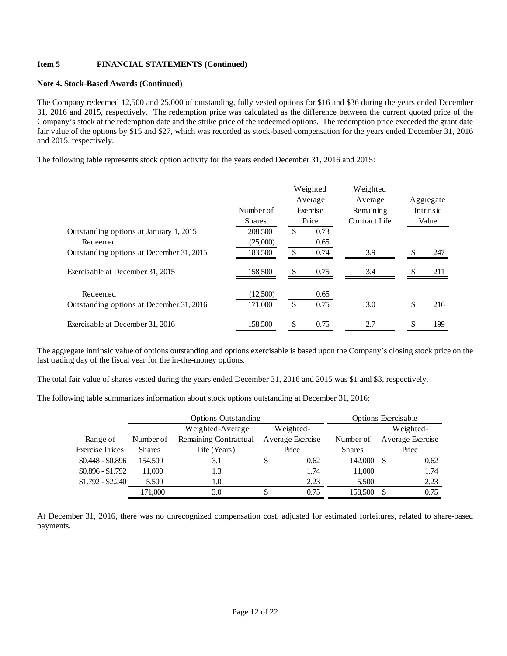## **Note 4. Stock-Based Awards (Continued)**

The Company redeemed 12,500 and 25,000 of outstanding, fully vested options for \$16 and \$36 during the years ended December 31, 2016 and 2015, respectively. The redemption price was calculated as the difference between the current quoted price of the Company's stock at the redemption date and the strike price of the redeemed options. The redemption price exceeded the grant date fair value of the options by \$15 and \$27, which was recorded as stock-based compensation for the years ended December 31, 2016 and 2015, respectively.

The following table represents stock option activity for the years ended December 31, 2016 and 2015:

|                                          | Number of<br><b>Shares</b> | Weighted<br>Average<br>Exercise<br>Price | Weighted<br>Average<br>Remaining<br><b>Contract Life</b> | Aggregate<br>Intrinsic<br>Value |
|------------------------------------------|----------------------------|------------------------------------------|----------------------------------------------------------|---------------------------------|
| Outstanding options at January 1, 2015   | 208,500                    | \$<br>0.73                               |                                                          |                                 |
| Redeemed                                 | (25,000)                   | 0.65                                     |                                                          |                                 |
| Outstanding options at December 31, 2015 | 183,500                    | \$<br>0.74                               | 3.9                                                      | 247                             |
| Exercisable at December 31, 2015         | 158,500                    | \$<br>0.75                               | 3.4                                                      | 211                             |
| Redeemed                                 | (12,500)                   | 0.65                                     |                                                          |                                 |
| Outstanding options at December 31, 2016 | 171,000                    | 0.75                                     | 3.0                                                      | 216                             |
| Exercisable at December 31, 2016         | 158,500                    | 0.75                                     | 2.7                                                      | 199                             |

The aggregate intrinsic value of options outstanding and options exercisable is based upon the Company's closing stock price on the last trading day of the fiscal year for the in-the-money options.

The total fair value of shares vested during the years ended December 31, 2016 and 2015 was \$1 and \$3, respectively.

The following table summarizes information about stock options outstanding at December 31, 2016:

|                        | <b>Options Outstanding</b> |                               |                  |       |               | Options Exercisable |                  |
|------------------------|----------------------------|-------------------------------|------------------|-------|---------------|---------------------|------------------|
|                        |                            | Weighted-Average<br>Weighted- |                  |       |               |                     | Weighted-        |
| Range of               | Number of                  | Remaining Contractual         | Average Exercise |       | Number of     |                     | Average Exercise |
| <b>Exercise Prices</b> | <b>Shares</b>              | Life (Years)                  |                  | Price | <b>Shares</b> |                     | Price            |
| $$0.448 - $0.896$      | 154,500                    | 3.1                           |                  | 0.62  | 142,000       | <sup>\$</sup>       | 0.62             |
| $$0.896 - $1.792$      | 11,000                     | 1.3                           |                  | 1.74  | 11,000        |                     | 1.74             |
| $$1.792 - $2.240$      | 5.500                      | 1.0                           |                  | 2.23  | 5.500         |                     | 2.23             |
|                        | 171,000                    | 3.0                           |                  | 0.75  | 158,500       |                     | 0.75             |

At December 31, 2016, there was no unrecognized compensation cost, adjusted for estimated forfeitures, related to share-based payments.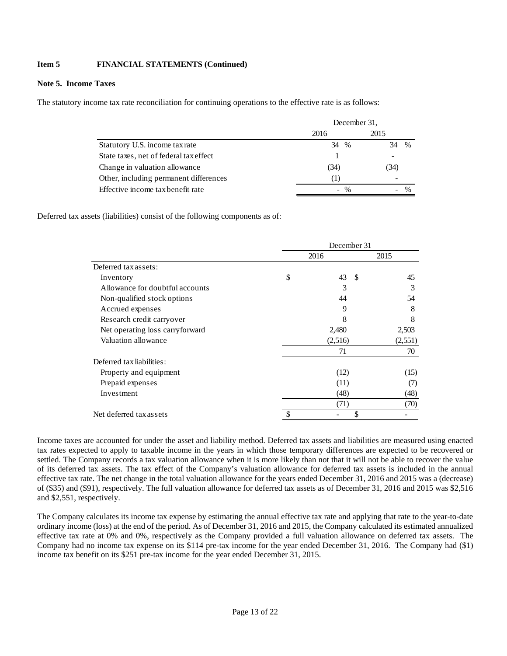# **Note 5. Income Taxes**

The statutory income tax rate reconciliation for continuing operations to the effective rate is as follows:

|                                        | December 31.            |            |  |  |
|----------------------------------------|-------------------------|------------|--|--|
|                                        | 2016                    | 2015       |  |  |
| Statutory U.S. income tax rate         | 34 %                    | $\%$<br>34 |  |  |
| State taxes, net of federal tax effect |                         |            |  |  |
| Change in valuation allowance          | (34)                    | 34)        |  |  |
| Other, including permanent differences | (1)                     | -          |  |  |
| Effective income tax benefit rate      | $\frac{0}{0}$<br>$\sim$ |            |  |  |

Deferred tax assets (liabilities) consist of the following components as of:

|                                 | December 31 |           |         |
|---------------------------------|-------------|-----------|---------|
|                                 |             | 2016      | 2015    |
| Deferred tax assets:            |             |           |         |
| Inventory                       | \$          | 43<br>-\$ | 45      |
| Allowance for doubtful accounts |             | 3         | 3       |
| Non-qualified stock options     |             | 44        | 54      |
| Accrued expenses                |             | 9         | 8       |
| Research credit carryover       |             | 8         | 8       |
| Net operating loss carryforward |             | 2,480     | 2,503   |
| Valuation allowance             |             | (2,516)   | (2,551) |
|                                 |             | 71        | 70      |
| Deferred tax liabilities:       |             |           |         |
| Property and equipment          |             | (12)      | (15)    |
| Prepaid expenses                |             | (11)      | (7)     |
| Investment                      |             | (48)      | (48)    |
|                                 |             | (71)      | (70)    |
| Net deferred tax assets         |             | \$        |         |

Income taxes are accounted for under the asset and liability method. Deferred tax assets and liabilities are measured using enacted tax rates expected to apply to taxable income in the years in which those temporary differences are expected to be recovered or settled. The Company records a tax valuation allowance when it is more likely than not that it will not be able to recover the value of its deferred tax assets. The tax effect of the Company's valuation allowance for deferred tax assets is included in the annual effective tax rate. The net change in the total valuation allowance for the years ended December 31, 2016 and 2015 was a (decrease) of (\$35) and (\$91), respectively. The full valuation allowance for deferred tax assets as of December 31, 2016 and 2015 was \$2,516 and \$2,551, respectively.

The Company calculates its income tax expense by estimating the annual effective tax rate and applying that rate to the year-to-date ordinary income (loss) at the end of the period. As of December 31, 2016 and 2015, the Company calculated its estimated annualized effective tax rate at 0% and 0%, respectively as the Company provided a full valuation allowance on deferred tax assets. The Company had no income tax expense on its \$114 pre-tax income for the year ended December 31, 2016. The Company had (\$1) income tax benefit on its \$251 pre-tax income for the year ended December 31, 2015.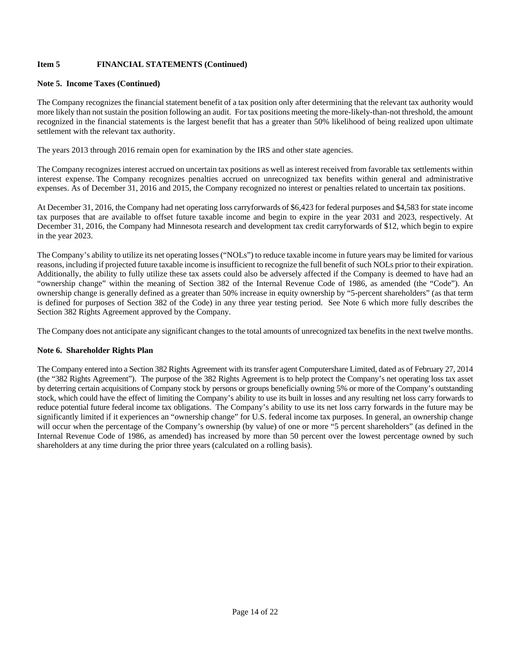# **Note 5. Income Taxes (Continued)**

The Company recognizes the financial statement benefit of a tax position only after determining that the relevant tax authority would more likely than not sustain the position following an audit. For tax positions meeting the more-likely-than-not threshold, the amount recognized in the financial statements is the largest benefit that has a greater than 50% likelihood of being realized upon ultimate settlement with the relevant tax authority.

The years 2013 through 2016 remain open for examination by the IRS and other state agencies.

The Company recognizes interest accrued on uncertain tax positions as well as interest received from favorable tax settlements within interest expense. The Company recognizes penalties accrued on unrecognized tax benefits within general and administrative expenses. As of December 31, 2016 and 2015, the Company recognized no interest or penalties related to uncertain tax positions.

At December 31, 2016, the Company had net operating loss carryforwards of \$6,423 for federal purposes and \$4,583 for state income tax purposes that are available to offset future taxable income and begin to expire in the year 2031 and 2023, respectively. At December 31, 2016, the Company had Minnesota research and development tax credit carryforwards of \$12, which begin to expire in the year 2023.

The Company's ability to utilize its net operating losses ("NOLs") to reduce taxable income in future years may be limited for various reasons, including if projected future taxable income is insufficient to recognize the full benefit of such NOLs prior to their expiration. Additionally, the ability to fully utilize these tax assets could also be adversely affected if the Company is deemed to have had an "ownership change" within the meaning of Section 382 of the Internal Revenue Code of 1986, as amended (the "Code"). An ownership change is generally defined as a greater than 50% increase in equity ownership by "5-percent shareholders" (as that term is defined for purposes of Section 382 of the Code) in any three year testing period. See Note 6 which more fully describes the Section 382 Rights Agreement approved by the Company.

The Company does not anticipate any significant changes to the total amounts of unrecognized tax benefits in the next twelve months.

## **Note 6. Shareholder Rights Plan**

The Company entered into a Section 382 Rights Agreement with its transfer agent Computershare Limited, dated as of February 27, 2014 (the "382 Rights Agreement"). The purpose of the 382 Rights Agreement is to help protect the Company's net operating loss tax asset by deterring certain acquisitions of Company stock by persons or groups beneficially owning 5% or more of the Company's outstanding stock, which could have the effect of limiting the Company's ability to use its built in losses and any resulting net loss carry forwards to reduce potential future federal income tax obligations. The Company's ability to use its net loss carry forwards in the future may be significantly limited if it experiences an "ownership change" for U.S. federal income tax purposes. In general, an ownership change will occur when the percentage of the Company's ownership (by value) of one or more "5 percent shareholders" (as defined in the Internal Revenue Code of 1986, as amended) has increased by more than 50 percent over the lowest percentage owned by such shareholders at any time during the prior three years (calculated on a rolling basis).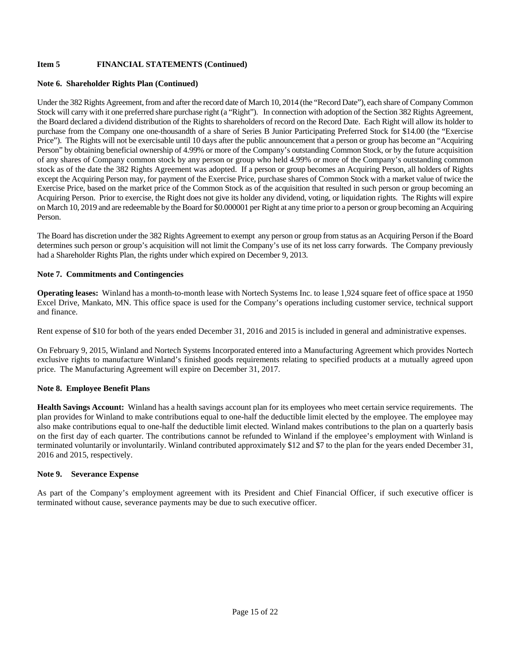## **Note 6. Shareholder Rights Plan (Continued)**

Under the 382 Rights Agreement, from and after the record date of March 10, 2014 (the "Record Date"), each share of Company Common Stock will carry with it one preferred share purchase right (a "Right"). In connection with adoption of the Section 382 Rights Agreement, the Board declared a dividend distribution of the Rights to shareholders of record on the Record Date. Each Right will allow its holder to purchase from the Company one one-thousandth of a share of Series B Junior Participating Preferred Stock for \$14.00 (the "Exercise Price"). The Rights will not be exercisable until 10 days after the public announcement that a person or group has become an "Acquiring Person" by obtaining beneficial ownership of 4.99% or more of the Company's outstanding Common Stock, or by the future acquisition of any shares of Company common stock by any person or group who held 4.99% or more of the Company's outstanding common stock as of the date the 382 Rights Agreement was adopted. If a person or group becomes an Acquiring Person, all holders of Rights except the Acquiring Person may, for payment of the Exercise Price, purchase shares of Common Stock with a market value of twice the Exercise Price, based on the market price of the Common Stock as of the acquisition that resulted in such person or group becoming an Acquiring Person. Prior to exercise, the Right does not give its holder any dividend, voting, or liquidation rights. The Rights will expire on March 10, 2019 and are redeemable by the Board for \$0.000001 per Right at any time prior to a person or group becoming an Acquiring Person.

The Board has discretion under the 382 Rights Agreement to exempt any person or group from status as an Acquiring Person if the Board determines such person or group's acquisition will not limit the Company's use of its net loss carry forwards. The Company previously had a Shareholder Rights Plan, the rights under which expired on December 9, 2013.

## **Note 7. Commitments and Contingencies**

**Operating leases:** Winland has a month-to-month lease with Nortech Systems Inc. to lease 1,924 square feet of office space at 1950 Excel Drive, Mankato, MN. This office space is used for the Company's operations including customer service, technical support and finance.

Rent expense of \$10 for both of the years ended December 31, 2016 and 2015 is included in general and administrative expenses.

On February 9, 2015, Winland and Nortech Systems Incorporated entered into a Manufacturing Agreement which provides Nortech exclusive rights to manufacture Winland's finished goods requirements relating to specified products at a mutually agreed upon price. The Manufacturing Agreement will expire on December 31, 2017.

## **Note 8. Employee Benefit Plans**

**Health Savings Account:** Winland has a health savings account plan for its employees who meet certain service requirements. The plan provides for Winland to make contributions equal to one-half the deductible limit elected by the employee. The employee may also make contributions equal to one-half the deductible limit elected. Winland makes contributions to the plan on a quarterly basis on the first day of each quarter. The contributions cannot be refunded to Winland if the employee's employment with Winland is terminated voluntarily or involuntarily. Winland contributed approximately \$12 and \$7 to the plan for the years ended December 31, 2016 and 2015, respectively.

#### **Note 9. Severance Expense**

As part of the Company's employment agreement with its President and Chief Financial Officer, if such executive officer is terminated without cause, severance payments may be due to such executive officer.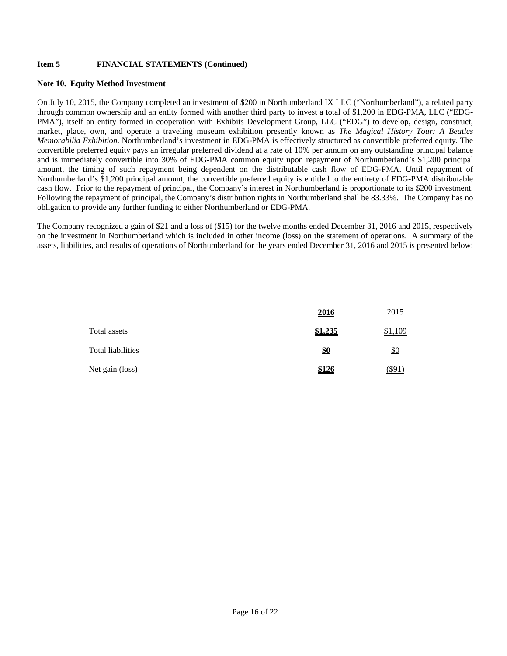## **Note 10. Equity Method Investment**

On July 10, 2015, the Company completed an investment of \$200 in Northumberland IX LLC ("Northumberland"), a related party through common ownership and an entity formed with another third party to invest a total of \$1,200 in EDG-PMA, LLC ("EDG-PMA"), itself an entity formed in cooperation with Exhibits Development Group, LLC ("EDG") to develop, design, construct, market, place, own, and operate a traveling museum exhibition presently known as *The Magical History Tour: A Beatles Memorabilia Exhibition*. Northumberland's investment in EDG-PMA is effectively structured as convertible preferred equity. The convertible preferred equity pays an irregular preferred dividend at a rate of 10% per annum on any outstanding principal balance and is immediately convertible into 30% of EDG-PMA common equity upon repayment of Northumberland's \$1,200 principal amount, the timing of such repayment being dependent on the distributable cash flow of EDG-PMA. Until repayment of Northumberland's \$1,200 principal amount, the convertible preferred equity is entitled to the entirety of EDG-PMA distributable cash flow. Prior to the repayment of principal, the Company's interest in Northumberland is proportionate to its \$200 investment. Following the repayment of principal, the Company's distribution rights in Northumberland shall be 83.33%. The Company has no obligation to provide any further funding to either Northumberland or EDG-PMA.

The Company recognized a gain of \$21 and a loss of (\$15) for the twelve months ended December 31, 2016 and 2015, respectively on the investment in Northumberland which is included in other income (loss) on the statement of operations. A summary of the assets, liabilities, and results of operations of Northumberland for the years ended December 31, 2016 and 2015 is presented below:

|                   | 2016          | 2015           |
|-------------------|---------------|----------------|
| Total assets      | \$1,235       | <u>\$1,109</u> |
| Total liabilities | $\frac{$0}{}$ | <u>\$0</u>     |
| Net gain (loss)   | \$126         | (\$91          |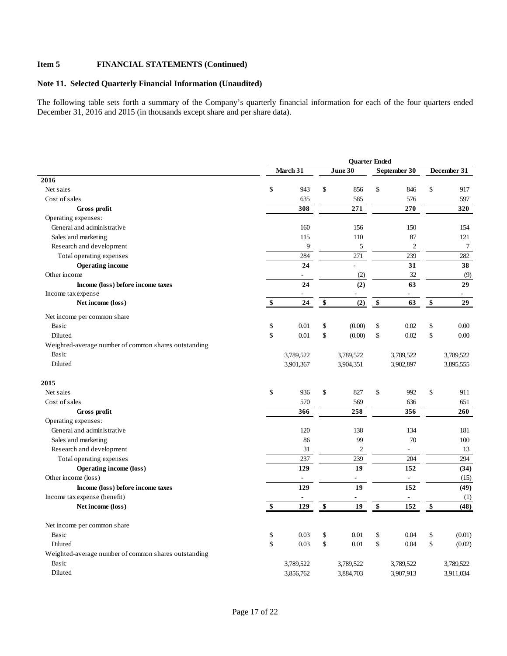## **Note 11. Selected Quarterly Financial Information (Unaudited)**

The following table sets forth a summary of the Company's quarterly financial information for each of the four quarters ended December 31, 2016 and 2015 (in thousands except share and per share data).

|                                                      | <b>Ouarter Ended</b> |    |                 |                |                       |
|------------------------------------------------------|----------------------|----|-----------------|----------------|-----------------------|
|                                                      | March 31             |    | June 30         | September 30   | December 31           |
| 2016                                                 |                      |    |                 |                |                       |
| Net sales                                            | \$<br>943            | \$ | 856             | \$<br>846      | \$<br>917             |
| Cost of sales                                        | 635                  |    | 585             | 576            | 597                   |
| Gross profit                                         | 308                  |    | 271             | 270            | 320                   |
| Operating expenses:                                  |                      |    |                 |                |                       |
| General and administrative                           | 160                  |    | 156             | 150            | 154                   |
| Sales and marketing                                  | 115                  |    | 110             | 87             | 121                   |
| Research and development                             | 9                    |    | 5               | $\overline{2}$ | $\tau$                |
| Total operating expenses                             | 284                  |    | 271             | 239            | 282                   |
| <b>Operating income</b>                              | 24                   |    |                 | 31             | 38                    |
| Other income                                         |                      |    | (2)             | 32             | (9)                   |
| Income (loss) before income taxes                    | 24                   |    | (2)             | 63             | 29                    |
| Income tax expense                                   |                      |    |                 | $\blacksquare$ | ÷,                    |
| Net income (loss)                                    | \$<br>24             | \$ | (2)             | \$<br>63       | \$<br>$\overline{29}$ |
| Net income per common share                          |                      |    |                 |                |                       |
| Basic                                                | \$<br>0.01           | \$ | (0.00)          | \$<br>0.02     | \$<br>0.00            |
| Diluted                                              | \$<br>0.01           | \$ | (0.00)          | \$<br>0.02     | \$<br>0.00            |
| Weighted-average number of common shares outstanding |                      |    |                 |                |                       |
| Basic                                                | 3,789,522            |    | 3,789,522       | 3,789,522      | 3,789,522             |
| Diluted                                              | 3,901,367            |    | 3,904,351       | 3,902,897      | 3,895,555             |
| 2015                                                 |                      |    |                 |                |                       |
| Net sales                                            | \$<br>936            | \$ | 827             | \$<br>992      | \$<br>911             |
| Cost of sales                                        | 570                  |    | 569             | 636            | 651                   |
| Gross profit                                         | 366                  |    | 258             | 356            | 260                   |
| Operating expenses:                                  |                      |    |                 |                |                       |
| General and administrative                           | 120                  |    | 138             | 134            | 181                   |
| Sales and marketing                                  | 86                   |    | 99              | 70             | 100                   |
| Research and development                             | 31                   |    | $\mathfrak{2}$  |                | 13                    |
| Total operating expenses                             | 237                  |    | 239             | 204            | 294                   |
| <b>Operating income (loss)</b>                       | $\overline{129}$     |    | 19              | 152            | (34)                  |
| Other income (loss)                                  |                      |    |                 |                | (15)                  |
| Income (loss) before income taxes                    | 129                  |    | $\overline{19}$ | 152            | (49)                  |
| Income tax expense (benefit)                         |                      |    |                 |                | (1)                   |
| Net income (loss)                                    | \$<br>129            | \$ | $\overline{19}$ | \$<br>152      | \$<br>(48)            |
| Net income per common share                          |                      |    |                 |                |                       |
| Basic                                                | \$<br>0.03           | \$ | 0.01            | \$<br>0.04     | \$<br>(0.01)          |
| Diluted                                              | \$<br>0.03           | \$ | 0.01            | \$<br>0.04     | \$<br>(0.02)          |
| Weighted-average number of common shares outstanding |                      |    |                 |                |                       |
| Basic                                                | 3,789,522            |    | 3,789,522       | 3,789,522      | 3,789,522             |
| Diluted                                              | 3,856,762            |    | 3,884,703       | 3,907,913      | 3,911,034             |
|                                                      |                      |    |                 |                |                       |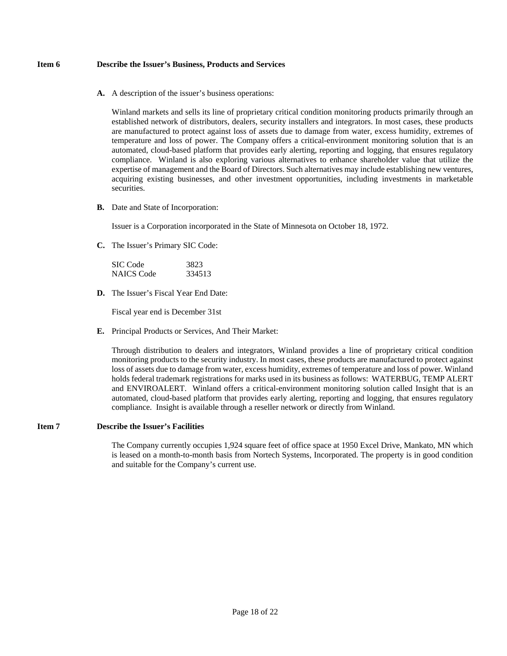## **Item 6 Describe the Issuer's Business, Products and Services**

**A.** A description of the issuer's business operations:

Winland markets and sells its line of proprietary critical condition monitoring products primarily through an established network of distributors, dealers, security installers and integrators. In most cases, these products are manufactured to protect against loss of assets due to damage from water, excess humidity, extremes of temperature and loss of power. The Company offers a critical-environment monitoring solution that is an automated, cloud-based platform that provides early alerting, reporting and logging, that ensures regulatory compliance. Winland is also exploring various alternatives to enhance shareholder value that utilize the expertise of management and the Board of Directors. Such alternatives may include establishing new ventures, acquiring existing businesses, and other investment opportunities, including investments in marketable securities.

**B.** Date and State of Incorporation:

Issuer is a Corporation incorporated in the State of Minnesota on October 18, 1972.

**C.** The Issuer's Primary SIC Code:

SIC Code 3823 NAICS Code 334513

**D.** The Issuer's Fiscal Year End Date:

Fiscal year end is December 31st

**E.** Principal Products or Services, And Their Market:

Through distribution to dealers and integrators, Winland provides a line of proprietary critical condition monitoring products to the security industry. In most cases, these products are manufactured to protect against loss of assets due to damage from water, excess humidity, extremes of temperature and loss of power. Winland holds federal trademark registrations for marks used in its business as follows: WATERBUG, TEMP ALERT and ENVIROALERT. Winland offers a critical-environment monitoring solution called Insight that is an automated, cloud-based platform that provides early alerting, reporting and logging, that ensures regulatory compliance. Insight is available through a reseller network or directly from Winland.

#### **Item 7 Describe the Issuer's Facilities**

The Company currently occupies 1,924 square feet of office space at 1950 Excel Drive, Mankato, MN which is leased on a month-to-month basis from Nortech Systems, Incorporated. The property is in good condition and suitable for the Company's current use.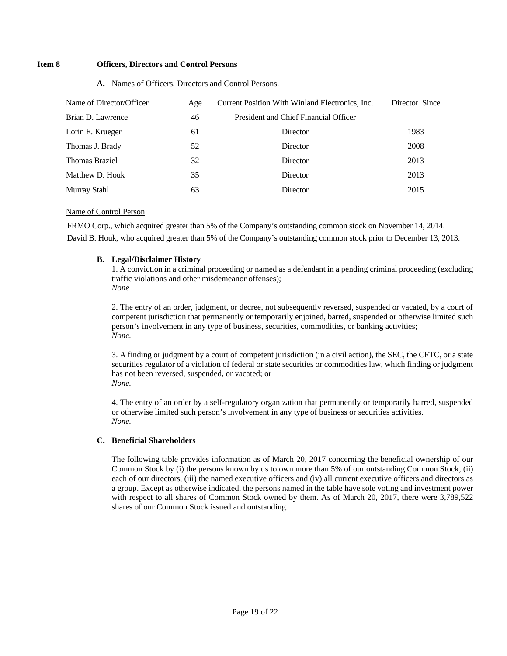# **Item 8 Officers, Directors and Control Persons**

| Name of Director/Officer | Age | Current Position With Winland Electronics, Inc. | Director Since |
|--------------------------|-----|-------------------------------------------------|----------------|
| Brian D. Lawrence        | 46  | President and Chief Financial Officer           |                |
| Lorin E. Krueger         | 61  | Director                                        | 1983           |
| Thomas J. Brady          | 52  | Director                                        | 2008           |
| Thomas Braziel           | 32  | Director                                        | 2013           |
| Matthew D. Houk          | 35  | Director                                        | 2013           |
| Murray Stahl             | 63  | Director                                        | 2015           |
|                          |     |                                                 |                |

**A.** Names of Officers, Directors and Control Persons.

# Name of Control Person

 FRMO Corp., which acquired greater than 5% of the Company's outstanding common stock on November 14, 2014. David B. Houk, who acquired greater than 5% of the Company's outstanding common stock prior to December 13, 2013.

# **B. Legal/Disclaimer History**

1. A conviction in a criminal proceeding or named as a defendant in a pending criminal proceeding (excluding traffic violations and other misdemeanor offenses); *None* 

2. The entry of an order, judgment, or decree, not subsequently reversed, suspended or vacated, by a court of competent jurisdiction that permanently or temporarily enjoined, barred, suspended or otherwise limited such person's involvement in any type of business, securities, commodities, or banking activities; *None.* 

3. A finding or judgment by a court of competent jurisdiction (in a civil action), the SEC, the CFTC, or a state securities regulator of a violation of federal or state securities or commodities law, which finding or judgment has not been reversed, suspended, or vacated; or *None.* 

4. The entry of an order by a self-regulatory organization that permanently or temporarily barred, suspended or otherwise limited such person's involvement in any type of business or securities activities. *None.* 

## **C. Beneficial Shareholders**

The following table provides information as of March 20, 2017 concerning the beneficial ownership of our Common Stock by (i) the persons known by us to own more than 5% of our outstanding Common Stock, (ii) each of our directors, (iii) the named executive officers and (iv) all current executive officers and directors as a group. Except as otherwise indicated, the persons named in the table have sole voting and investment power with respect to all shares of Common Stock owned by them. As of March 20, 2017, there were 3,789,522 shares of our Common Stock issued and outstanding.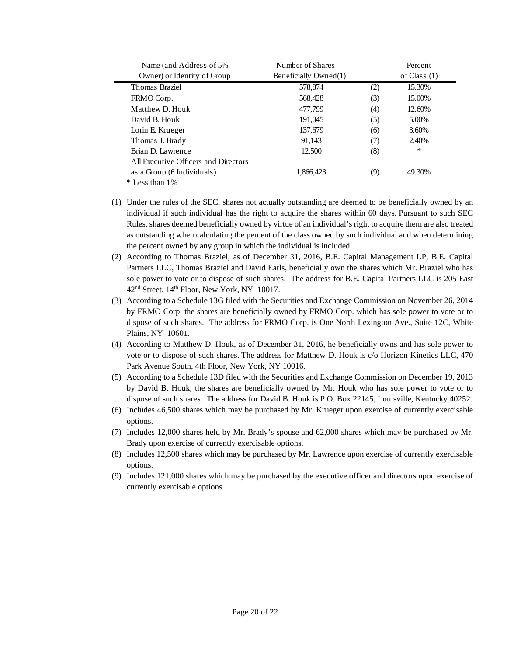| Name (and Address of 5%)             | Number of Shares      | Percent |                |
|--------------------------------------|-----------------------|---------|----------------|
| Owner) or Identity of Group          | Beneficially Owned(1) |         | of Class $(1)$ |
| Thomas Braziel                       | 578,874               | (2)     | 15.30%         |
| FRMO Corp.                           | 568,428               | (3)     | 15.00%         |
| Matthew D. Houk                      | 477.799               | (4)     | 12.60%         |
| David B. Houk                        | 191,045               | (5)     | 5.00%          |
| Lorin E. Krueger                     | 137,679               | (6)     | 3.60%          |
| Thomas J. Brady                      | 91.143                | (7)     | 2.40%          |
| Brian D. Lawrence                    | 12,500                | (8)     | $\ast$         |
| All Executive Officers and Directors |                       |         |                |
| as a Group (6 Individuals)           | 1,866,423             | (9)     | 49.30%         |
| * Less than 1%                       |                       |         |                |

- (1) Under the rules of the SEC, shares not actually outstanding are deemed to be beneficially owned by an individual if such individual has the right to acquire the shares within 60 days. Pursuant to such SEC Rules, shares deemed beneficially owned by virtue of an individual's right to acquire them are also treated as outstanding when calculating the percent of the class owned by such individual and when determining the percent owned by any group in which the individual is included.
- (2) According to Thomas Braziel, as of December 31, 2016, B.E. Capital Management LP, B.E. Capital Partners LLC, Thomas Braziel and David Earls, beneficially own the shares which Mr. Braziel who has sole power to vote or to dispose of such shares. The address for B.E. Capital Partners LLC is 205 East 42nd Street, 14th Floor, New York, NY 10017.
- (3) According to a Schedule 13G filed with the Securities and Exchange Commission on November 26, 2014 by FRMO Corp. the shares are beneficially owned by FRMO Corp. which has sole power to vote or to dispose of such shares. The address for FRMO Corp. is One North Lexington Ave., Suite 12C, White Plains, NY 10601.
- (4) According to Matthew D. Houk, as of December 31, 2016, he beneficially owns and has sole power to vote or to dispose of such shares. The address for Matthew D. Houk is c/o Horizon Kinetics LLC, 470 Park Avenue South, 4th Floor, New York, NY 10016.
- (5) According to a Schedule 13D filed with the Securities and Exchange Commission on December 19, 2013 by David B. Houk, the shares are beneficially owned by Mr. Houk who has sole power to vote or to dispose of such shares. The address for David B. Houk is P.O. Box 22145, Louisville, Kentucky 40252.
- (6) Includes 46,500 shares which may be purchased by Mr. Krueger upon exercise of currently exercisable options.
- (7) Includes 12,000 shares held by Mr. Brady's spouse and 62,000 shares which may be purchased by Mr. Brady upon exercise of currently exercisable options.
- (8) Includes 12,500 shares which may be purchased by Mr. Lawrence upon exercise of currently exercisable options.
- (9) Includes 121,000 shares which may be purchased by the executive officer and directors upon exercise of currently exercisable options.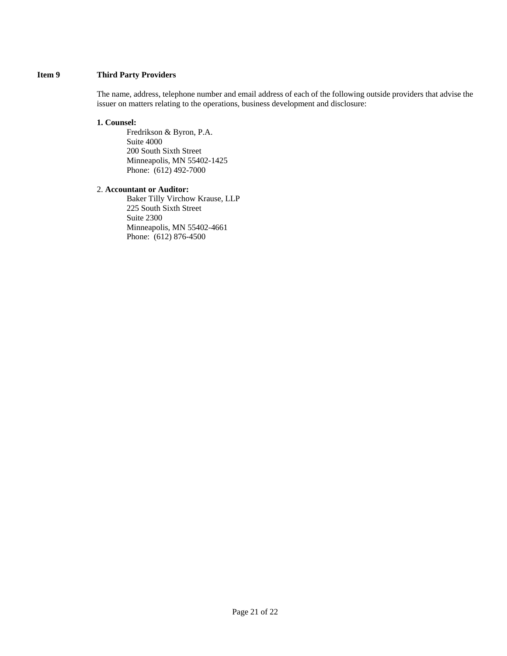## **Item 9 Third Party Providers**

The name, address, telephone number and email address of each of the following outside providers that advise the issuer on matters relating to the operations, business development and disclosure:

#### **1. Counsel:**

Fredrikson & Byron, P.A. Suite 4000 200 South Sixth Street Minneapolis, MN 55402-1425 Phone: (612) 492-7000

## 2. **Accountant or Auditor:**

 Baker Tilly Virchow Krause, LLP 225 South Sixth Street Suite 2300 Minneapolis, MN 55402-4661 Phone: (612) 876-4500